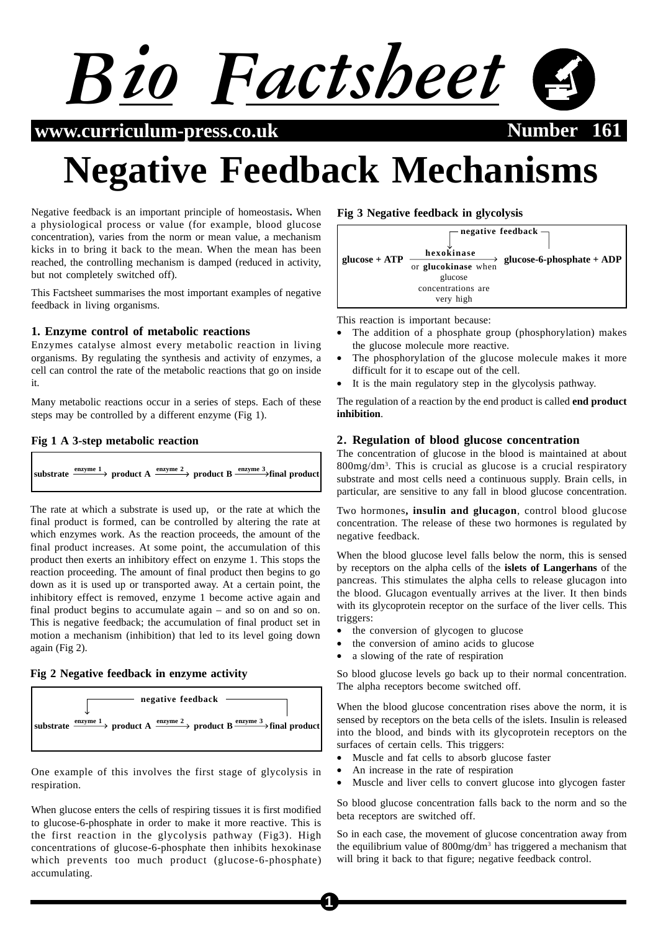

 $www.curriculum-press.co.uk$ 

# **Negative Feedback Mechanisms**

Negative feedback is an important principle of homeostasis**.** When a physiological process or value (for example, blood glucose concentration), varies from the norm or mean value, a mechanism kicks in to bring it back to the mean. When the mean has been reached, the controlling mechanism is damped (reduced in activity, but not completely switched off).

This Factsheet summarises the most important examples of negative feedback in living organisms.

## **1. Enzyme control of metabolic reactions**

Enzymes catalyse almost every metabolic reaction in living organisms. By regulating the synthesis and activity of enzymes, a cell can control the rate of the metabolic reactions that go on inside it.

Many metabolic reactions occur in a series of steps. Each of these steps may be controlled by a different enzyme (Fig 1).

## **Fig 1 A 3-step metabolic reaction**

| substrate $\frac{$ enzyme 1 b product A $\frac{$ enzyme 2 b product B $\frac{$ enzyme 3 final product |
|-------------------------------------------------------------------------------------------------------|
|-------------------------------------------------------------------------------------------------------|

The rate at which a substrate is used up, or the rate at which the final product is formed, can be controlled by altering the rate at which enzymes work. As the reaction proceeds, the amount of the final product increases. At some point, the accumulation of this product then exerts an inhibitory effect on enzyme 1. This stops the reaction proceeding. The amount of final product then begins to go down as it is used up or transported away. At a certain point, the inhibitory effect is removed, enzyme 1 become active again and final product begins to accumulate again – and so on and so on. This is negative feedback; the accumulation of final product set in motion a mechanism (inhibition) that led to its level going down again (Fig 2).

## **Fig 2 Negative feedback in enzyme activity**



One example of this involves the first stage of glycolysis in respiration.

When glucose enters the cells of respiring tissues it is first modified to glucose-6-phosphate in order to make it more reactive. This is the first reaction in the glycolysis pathway (Fig3). High concentrations of glucose-6-phosphate then inhibits hexokinase which prevents too much product (glucose-6-phosphate) accumulating.

**Fig 3 Negative feedback in glycolysis**



This reaction is important because:

- The addition of a phosphate group (phosphorylation) makes the glucose molecule more reactive.
- The phosphorylation of the glucose molecule makes it more difficult for it to escape out of the cell.
- It is the main regulatory step in the glycolysis pathway.

The regulation of a reaction by the end product is called **end product inhibition**.

## **2. Regulation of blood glucose concentration**

The concentration of glucose in the blood is maintained at about 800mg/dm3 . This is crucial as glucose is a crucial respiratory substrate and most cells need a continuous supply. Brain cells, in particular, are sensitive to any fall in blood glucose concentration.

Two hormones**, insulin and glucagon**, control blood glucose concentration. The release of these two hormones is regulated by negative feedback.

When the blood glucose level falls below the norm, this is sensed by receptors on the alpha cells of the **islets of Langerhans** of the pancreas. This stimulates the alpha cells to release glucagon into the blood. Glucagon eventually arrives at the liver. It then binds with its glycoprotein receptor on the surface of the liver cells. This triggers:

- the conversion of glycogen to glucose
- the conversion of amino acids to glucose
- a slowing of the rate of respiration

So blood glucose levels go back up to their normal concentration. The alpha receptors become switched off.

When the blood glucose concentration rises above the norm, it is sensed by receptors on the beta cells of the islets. Insulin is released into the blood, and binds with its glycoprotein receptors on the surfaces of certain cells. This triggers:

- Muscle and fat cells to absorb glucose faster
- An increase in the rate of respiration
- Muscle and liver cells to convert glucose into glycogen faster

So blood glucose concentration falls back to the norm and so the beta receptors are switched off.

So in each case, the movement of glucose concentration away from the equilibrium value of 800mg/dm<sup>3</sup> has triggered a mechanism that will bring it back to that figure; negative feedback control.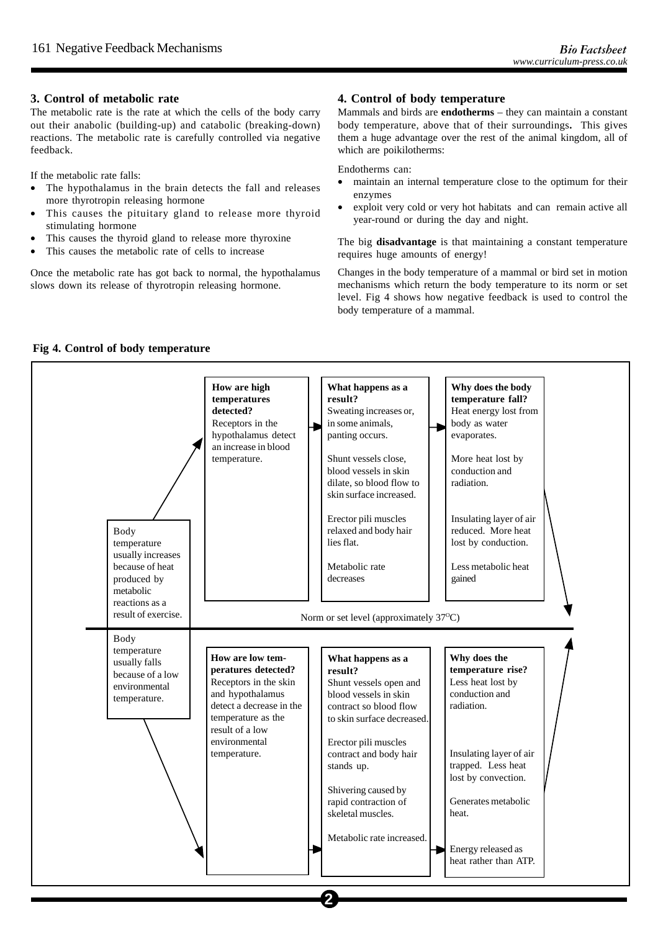## **3. Control of metabolic rate**

The metabolic rate is the rate at which the cells of the body carry out their anabolic (building-up) and catabolic (breaking-down) reactions. The metabolic rate is carefully controlled via negative feedback.

If the metabolic rate falls:

- The hypothalamus in the brain detects the fall and releases more thyrotropin releasing hormone
- This causes the pituitary gland to release more thyroid stimulating hormone
- This causes the thyroid gland to release more thyroxine
- This causes the metabolic rate of cells to increase

Once the metabolic rate has got back to normal, the hypothalamus slows down its release of thyrotropin releasing hormone.

## **4. Control of body temperature**

Mammals and birds are **endotherms** – they can maintain a constant body temperature, above that of their surroundings**.** This gives them a huge advantage over the rest of the animal kingdom, all of which are poikilotherms:

Endotherms can:

- maintain an internal temperature close to the optimum for their enzymes
- exploit very cold or very hot habitats and can remain active all year-round or during the day and night.

The big **disadvantage** is that maintaining a constant temperature requires huge amounts of energy!

Changes in the body temperature of a mammal or bird set in motion mechanisms which return the body temperature to its norm or set level. Fig 4 shows how negative feedback is used to control the body temperature of a mammal.

# **Fig 4. Control of body temperature**



**2**